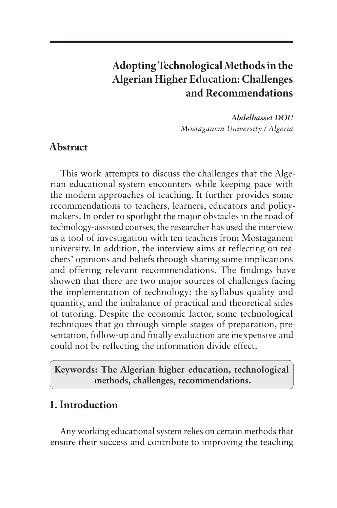# **Adopting Technological Methods in the Algerian Higher Education: Challenges and Recommendations**

*Abdelbasset DOU Mostaganem University / Algeria*

### **Abstract**

This work attempts to discuss the challenges that the Algerian educational system encounters while keeping pace with the modern approaches of teaching. It further provides some recommendations to teachers, learners, educators and policymakers. In order to spotlight the major obstacles in the road of technology-assisted courses, the researcher has used the interview as a tool of investigation with ten teachers from Mostaganem university. In addition, the interview aims at reflecting on teachers' opinions and beliefs through sharing some implications and offering relevant recommendations. The findings have showen that there are two major sources of challenges facing the implementation of technology: the syllabus quality and quantity, and the imbalance of practical and theoretical sides of tutoring. Despite the economic factor, some technological techniques that go through simple stages of preparation, presentation, follow-up and finally evaluation are inexpensive and could not be reflecting the information divide effect.

### **Keywords: The Algerian higher education, technological methods, challenges, recommendations.**

# **1. Introduction**

Any working educational system relies on certain methods that ensure their success and contribute to improving the teaching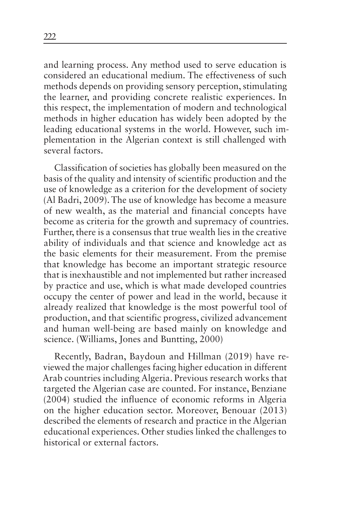and learning process. Any method used to serve education is considered an educational medium. The effectiveness of such methods depends on providing sensory perception, stimulating the learner, and providing concrete realistic experiences. In this respect, the implementation of modern and technological methods in higher education has widely been adopted by the leading educational systems in the world. However, such implementation in the Algerian context is still challenged with several factors.

Classification of societies has globally been measured on the basis of the quality and intensity of scientific production and the use of knowledge as a criterion for the development of society (Al Badri, 2009). The use of knowledge has become a measure of new wealth, as the material and financial concepts have become as criteria for the growth and supremacy of countries. Further, there is a consensus that true wealth lies in the creative ability of individuals and that science and knowledge act as the basic elements for their measurement. From the premise that knowledge has become an important strategic resource that is inexhaustible and not implemented but rather increased by practice and use, which is what made developed countries occupy the center of power and lead in the world, because it already realized that knowledge is the most powerful tool of production, and that scientific progress, civilized advancement and human well-being are based mainly on knowledge and science. (Williams, Jones and Buntting, 2000)

Recently, Badran, Baydoun and Hillman (2019) have reviewed the major challenges facing higher education in different Arab countries including Algeria. Previous research works that targeted the Algerian case are counted. For instance, Benziane (2004) studied the influence of economic reforms in Algeria on the higher education sector. Moreover, Benouar (2013) described the elements of research and practice in the Algerian educational experiences. Other studies linked the challenges to historical or external factors.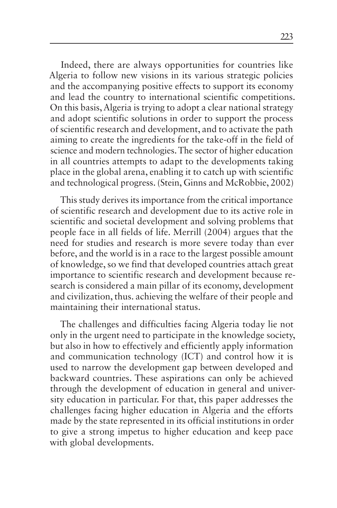Indeed, there are always opportunities for countries like Algeria to follow new visions in its various strategic policies and the accompanying positive effects to support its economy and lead the country to international scientific competitions. On this basis, Algeria is trying to adopt a clear national strategy and adopt scientific solutions in order to support the process of scientific research and development, and to activate the path aiming to create the ingredients for the take-off in the field of science and modern technologies. The sector of higher education in all countries attempts to adapt to the developments taking place in the global arena, enabling it to catch up with scientific and technological progress. (Stein, Ginns and McRobbie, 2002)

This study derives its importance from the critical importance of scientific research and development due to its active role in scientific and societal development and solving problems that people face in all fields of life. Merrill (2004) argues that the need for studies and research is more severe today than ever before, and the world is in a race to the largest possible amount of knowledge, so we find that developed countries attach great importance to scientific research and development because research is considered a main pillar of its economy, development and civilization, thus. achieving the welfare of their people and maintaining their international status.

The challenges and difficulties facing Algeria today lie not only in the urgent need to participate in the knowledge society, but also in how to effectively and efficiently apply information and communication technology (ICT) and control how it is used to narrow the development gap between developed and backward countries. These aspirations can only be achieved through the development of education in general and university education in particular. For that, this paper addresses the challenges facing higher education in Algeria and the efforts made by the state represented in its official institutions in order to give a strong impetus to higher education and keep pace with global developments.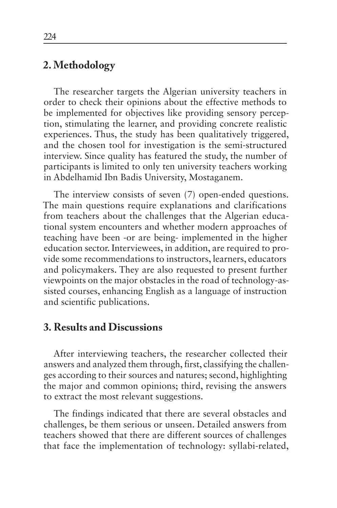# **2. Methodology**

The researcher targets the Algerian university teachers in order to check their opinions about the effective methods to be implemented for objectives like providing sensory perception, stimulating the learner, and providing concrete realistic experiences. Thus, the study has been qualitatively triggered, and the chosen tool for investigation is the semi-structured interview. Since quality has featured the study, the number of participants is limited to only ten university teachers working in Abdelhamid Ibn Badis University, Mostaganem.

The interview consists of seven (7) open-ended questions. The main questions require explanations and clarifications from teachers about the challenges that the Algerian educational system encounters and whether modern approaches of teaching have been -or are being- implemented in the higher education sector. Interviewees, in addition, are required to provide some recommendations to instructors, learners, educators and policymakers. They are also requested to present further viewpoints on the major obstacles in the road of technology-assisted courses, enhancing English as a language of instruction and scientific publications.

## **3. Results and Discussions**

After interviewing teachers, the researcher collected their answers and analyzed them through, first, classifying the challenges according to their sources and natures; second, highlighting the major and common opinions; third, revising the answers to extract the most relevant suggestions.

The findings indicated that there are several obstacles and challenges, be them serious or unseen. Detailed answers from teachers showed that there are different sources of challenges that face the implementation of technology: syllabi-related,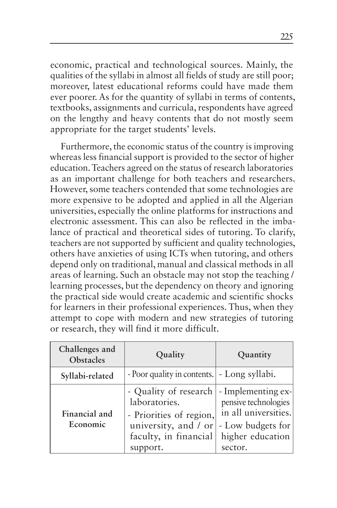economic, practical and technological sources. Mainly, the qualities of the syllabi in almost all fields of study are still poor; moreover, latest educational reforms could have made them ever poorer. As for the quantity of syllabi in terms of contents, textbooks, assignments and curricula, respondents have agreed on the lengthy and heavy contents that do not mostly seem appropriate for the target students' levels.

Furthermore, the economic status of the country is improving whereas less financial support is provided to the sector of higher education. Teachers agreed on the status of research laboratories as an important challenge for both teachers and researchers. However, some teachers contended that some technologies are more expensive to be adopted and applied in all the Algerian universities, especially the online platforms for instructions and electronic assessment. This can also be reflected in the imbalance of practical and theoretical sides of tutoring. To clarify, teachers are not supported by sufficient and quality technologies, others have anxieties of using ICTs when tutoring, and others depend only on traditional, manual and classical methods in all areas of learning. Such an obstacle may not stop the teaching / learning processes, but the dependency on theory and ignoring the practical side would create academic and scientific shocks for learners in their professional experiences. Thus, when they attempt to cope with modern and new strategies of tutoring or research, they will find it more difficult.

| Challenges and<br>Obstacles | Quality                                                                                                                                               | Quantity                                                                                         |
|-----------------------------|-------------------------------------------------------------------------------------------------------------------------------------------------------|--------------------------------------------------------------------------------------------------|
| Syllabi-related             | - Poor quality in contents.   - Long syllabi.                                                                                                         |                                                                                                  |
| Financial and<br>Economic   | - Quality of research   - Implementing ex-<br>laboratories.<br>- Priorities of region,<br>university, and $/$ or<br>faculty, in financial<br>support. | pensive technologies<br>in all universities.<br>- Low budgets for<br>higher education<br>sector. |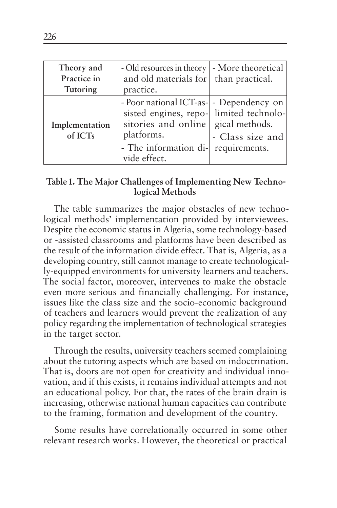| Theory and                | - Old resources in theory   - More theoretical                                                                                                                                  |                                   |
|---------------------------|---------------------------------------------------------------------------------------------------------------------------------------------------------------------------------|-----------------------------------|
| Practice in               | and old materials for than practical.                                                                                                                                           |                                   |
| Tutoring                  | practice.                                                                                                                                                                       |                                   |
| Implementation<br>of ICTs | - Poor national ICT-as- - Dependency on<br>sisted engines, repo- limited technolo-<br>sitories and online gical methods.<br>platforms.<br>- The information di-<br>vide effect. | - Class size and<br>requirements. |

#### **Table 1. The Major Challenges of Implementing New Technological Methods**

The table summarizes the major obstacles of new technological methods' implementation provided by interviewees. Despite the economic status in Algeria, some technology-based or -assisted classrooms and platforms have been described as the result of the information divide effect. That is, Algeria, as a developing country, still cannot manage to create technologically-equipped environments for university learners and teachers. The social factor, moreover, intervenes to make the obstacle even more serious and financially challenging. For instance, issues like the class size and the socio-economic background of teachers and learners would prevent the realization of any policy regarding the implementation of technological strategies in the target sector.

Through the results, university teachers seemed complaining about the tutoring aspects which are based on indoctrination. That is, doors are not open for creativity and individual innovation, and if this exists, it remains individual attempts and not an educational policy. For that, the rates of the brain drain is increasing, otherwise national human capacities can contribute to the framing, formation and development of the country.

Some results have correlationally occurred in some other relevant research works. However, the theoretical or practical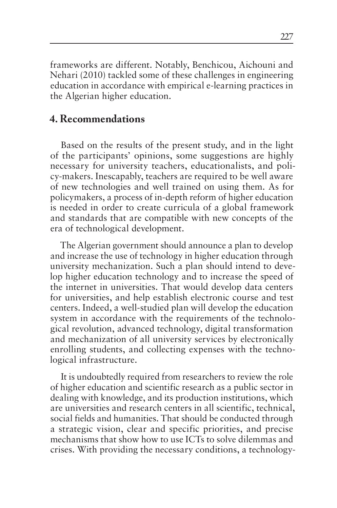frameworks are different. Notably, Benchicou, Aichouni and Nehari (2010) tackled some of these challenges in engineering education in accordance with empirical e-learning practices in the Algerian higher education.

### **4. Recommendations**

Based on the results of the present study, and in the light of the participants' opinions, some suggestions are highly necessary for university teachers, educationalists, and policy-makers. Inescapably, teachers are required to be well aware of new technologies and well trained on using them. As for policymakers, a process of in-depth reform of higher education is needed in order to create curricula of a global framework and standards that are compatible with new concepts of the era of technological development.

The Algerian government should announce a plan to develop and increase the use of technology in higher education through university mechanization. Such a plan should intend to develop higher education technology and to increase the speed of the internet in universities. That would develop data centers for universities, and help establish electronic course and test centers. Indeed, a well-studied plan will develop the education system in accordance with the requirements of the technological revolution, advanced technology, digital transformation and mechanization of all university services by electronically enrolling students, and collecting expenses with the technological infrastructure.

It is undoubtedly required from researchers to review the role of higher education and scientific research as a public sector in dealing with knowledge, and its production institutions, which are universities and research centers in all scientific, technical, social fields and humanities. That should be conducted through a strategic vision, clear and specific priorities, and precise mechanisms that show how to use ICTs to solve dilemmas and crises. With providing the necessary conditions, a technology-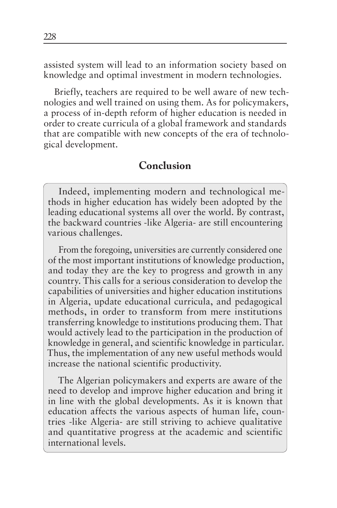assisted system will lead to an information society based on knowledge and optimal investment in modern technologies.

Briefly, teachers are required to be well aware of new technologies and well trained on using them. As for policymakers, a process of in-depth reform of higher education is needed in order to create curricula of a global framework and standards that are compatible with new concepts of the era of technological development.

### **Conclusion**

Indeed, implementing modern and technological methods in higher education has widely been adopted by the leading educational systems all over the world. By contrast, the backward countries -like Algeria- are still encountering various challenges.

From the foregoing, universities are currently considered one of the most important institutions of knowledge production, and today they are the key to progress and growth in any country. This calls for a serious consideration to develop the capabilities of universities and higher education institutions in Algeria, update educational curricula, and pedagogical methods, in order to transform from mere institutions transferring knowledge to institutions producing them. That would actively lead to the participation in the production of knowledge in general, and scientific knowledge in particular. Thus, the implementation of any new useful methods would increase the national scientific productivity.

The Algerian policymakers and experts are aware of the need to develop and improve higher education and bring it in line with the global developments. As it is known that education affects the various aspects of human life, countries -like Algeria- are still striving to achieve qualitative and quantitative progress at the academic and scientific international levels.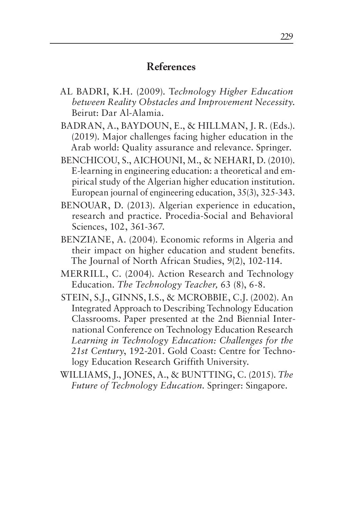## **References**

- AL BADRI, K.H. (2009). T*echnology Higher Education between Reality Obstacles and Improvement Necessity*. Beirut: Dar Al-Alamia.
- BADRAN, A., BAYDOUN, E., & HILLMAN, J. R. (Eds.). (2019). Major challenges facing higher education in the Arab world: Quality assurance and relevance. Springer.
- BENCHICOU, S., AICHOUNI, M., & NEHARI, D. (2010). E-learning in engineering education: a theoretical and empirical study of the Algerian higher education institution. European journal of engineering education, 35(3), 325-343.
- BENOUAR, D. (2013). Algerian experience in education, research and practice. Procedia-Social and Behavioral Sciences, 102, 361-367.
- BENZIANE, A. (2004). Economic reforms in Algeria and their impact on higher education and student benefits. The Journal of North African Studies, 9(2), 102-114.
- MERRILL, C. (2004). Action Research and Technology Education. *The Technology Teacher,* 63 (8), 6-8.
- STEIN, S.J., GINNS, I.S., & MCROBBIE, C.J. (2002). An Integrated Approach to Describing Technology Education Classrooms. Paper presented at the 2nd Biennial International Conference on Technology Education Research *Learning in Technology Education: Challenges for the 21st Century*, 192-201. Gold Coast: Centre for Technology Education Research Griffith University.
- WILLIAMS, J., JONES, A., & BUNTTING, C. (2015). *The Future of Technology Education*. Springer: Singapore.